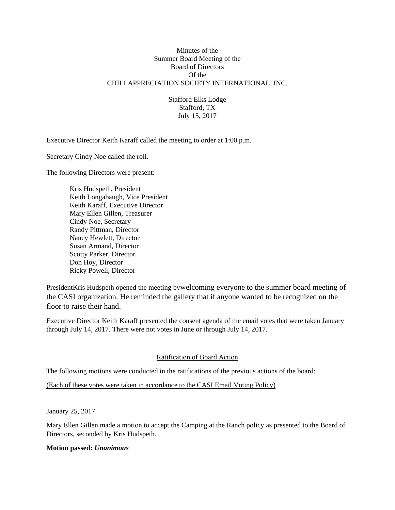### Minutes of the Summer Board Meeting of the Board of Directors Of the CHILI APPRECIATION SOCIETY INTERNATIONAL, INC.

Stafford Elks Lodge Stafford, TX July 15, 2017

Executive Director Keith Karaff called the meeting to order at 1:00 p.m.

Secretary Cindy Noe called the roll.

The following Directors were present:

 Kris Hudspeth, President Keith Longabaugh, Vice President Keith Karaff, Executive Director Mary Ellen Gillen, Treasurer Cindy Noe, Secretary Randy Pittman, Director Nancy Hewlett, Director Susan Armand, Director Scotty Parker, Director Don Hoy, Director Ricky Powell, Director

PresidentKris Hudspeth opened the meeting bywelcoming everyone to the summer board meeting of the CASI organization. He reminded the gallery that if anyone wanted to be recognized on the floor to raise their hand.

Executive Director Keith Karaff presented the consent agenda of the email votes that were taken January through July 14, 2017. There were not votes in June or through July 14, 2017.

### Ratification of Board Action

The following motions were conducted in the ratifications of the previous actions of the board:

(Each of these votes were taken in accordance to the CASI Email Voting Policy)

January 25, 2017

Mary Ellen Gillen made a motion to accept the Camping at the Ranch policy as presented to the Board of Directors, seconded by Kris Hudspeth.

### **Motion passed:** *Unanimous*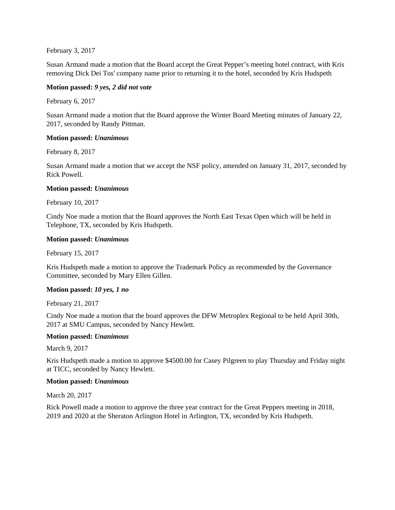February 3, 2017

Susan Armand made a motion that the Board accept the Great Pepper's meeting hotel contract, with Kris removing Dick Dei Tos' company name prior to returning it to the hotel, seconded by Kris Hudspeth

### **Motion passed:** *9 yes, 2 did not vote*

February 6, 2017

Susan Armand made a motion that the Board approve the Winter Board Meeting minutes of January 22, 2017, seconded by Randy Pittman.

### **Motion passed:** *Unanimous*

February 8, 2017

Susan Armand made a motion that we accept the NSF policy, amended on January 31, 2017, seconded by Rick Powell.

### **Motion passed:** *Unanimous*

February 10, 2017

Cindy Noe made a motion that the Board approves the North East Texas Open which will be held in Telephone, TX, seconded by Kris Hudspeth.

### **Motion passed:** *Unanimous*

February 15, 2017

Kris Hudspeth made a motion to approve the Trademark Policy as recommended by the Governance Committee, seconded by Mary Ellen Gillen.

### **Motion passed:** *10 yes, 1 no*

February 21, 2017

Cindy Noe made a motion that the board approves the DFW Metroplex Regional to be held April 30th, 2017 at SMU Campus, seconded by Nancy Hewlett.

### **Motion passed:** *Unanimous*

March 9, 2017

Kris Hudspeth made a motion to approve \$4500.00 for Casey Pilgreen to play Thursday and Friday night at TICC, seconded by Nancy Hewlett.

### **Motion passed:** *Unanimous*

March 20, 2017

Rick Powell made a motion to approve the three year contract for the Great Peppers meeting in 2018, 2019 and 2020 at the Sheraton Arlington Hotel in Arlington, TX, seconded by Kris Hudspeth.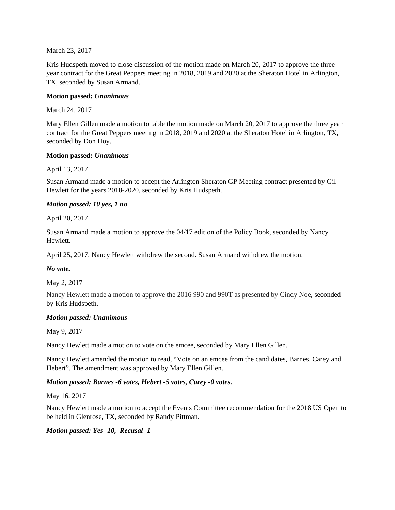March 23, 2017

Kris Hudspeth moved to close discussion of the motion made on March 20, 2017 to approve the three year contract for the Great Peppers meeting in 2018, 2019 and 2020 at the Sheraton Hotel in Arlington, TX, seconded by Susan Armand.

### **Motion passed:** *Unanimous*

March 24, 2017

Mary Ellen Gillen made a motion to table the motion made on March 20, 2017 to approve the three year contract for the Great Peppers meeting in 2018, 2019 and 2020 at the Sheraton Hotel in Arlington, TX, seconded by Don Hoy.

### **Motion passed:** *Unanimous*

April 13, 2017

Susan Armand made a motion to accept the Arlington Sheraton GP Meeting contract presented by Gil Hewlett for the years 2018-2020, seconded by Kris Hudspeth.

### *Motion passed: 10 yes, 1 no*

April 20, 2017

Susan Armand made a motion to approve the 04/17 edition of the Policy Book, seconded by Nancy Hewlett.

April 25, 2017, Nancy Hewlett withdrew the second. Susan Armand withdrew the motion.

### *No vote.*

May 2, 2017

Nancy Hewlett made a motion to approve the 2016 990 and 990T as presented by Cindy Noe, seconded by Kris Hudspeth.

### *Motion passed: Unanimous*

May 9, 2017

Nancy Hewlett made a motion to vote on the emcee, seconded by Mary Ellen Gillen.

Nancy Hewlett amended the motion to read, "Vote on an emcee from the candidates, Barnes, Carey and Hebert". The amendment was approved by Mary Ellen Gillen.

### *Motion passed: Barnes -6 votes, Hebert -5 votes, Carey -0 votes.*

May 16, 2017

Nancy Hewlett made a motion to accept the Events Committee recommendation for the 2018 US Open to be held in Glenrose, TX, seconded by Randy Pittman.

### *Motion passed: Yes- 10, Recusal- 1*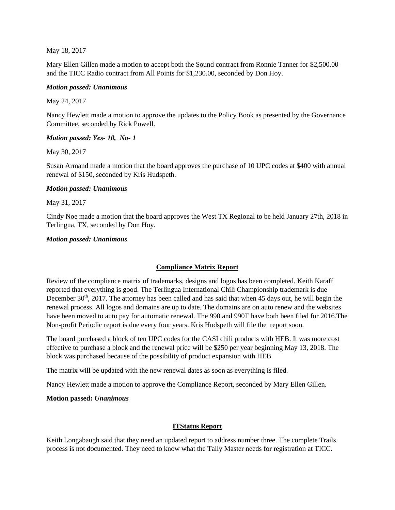May 18, 2017

Mary Ellen Gillen made a motion to accept both the Sound contract from Ronnie Tanner for \$2,500.00 and the TICC Radio contract from All Points for \$1,230.00, seconded by Don Hoy.

### *Motion passed: Unanimous*

May 24, 2017

Nancy Hewlett made a motion to approve the updates to the Policy Book as presented by the Governance Committee, seconded by Rick Powell.

### *Motion passed: Yes- 10, No- 1*

May 30, 2017

Susan Armand made a motion that the board approves the purchase of 10 UPC codes at \$400 with annual renewal of \$150, seconded by Kris Hudspeth.

### *Motion passed: Unanimous*

May 31, 2017

Cindy Noe made a motion that the board approves the West TX Regional to be held January 27th, 2018 in Terlingua, TX, seconded by Don Hoy.

### *Motion passed: Unanimous*

## **Compliance Matrix Report**

Review of the compliance matrix of trademarks, designs and logos has been completed. Keith Karaff reported that everything is good. The Terlingua International Chili Championship trademark is due December  $30<sup>th</sup>$ , 2017. The attorney has been called and has said that when 45 days out, he will begin the renewal process. All logos and domains are up to date. The domains are on auto renew and the websites have been moved to auto pay for automatic renewal. The 990 and 990T have both been filed for 2016.The Non-profit Periodic report is due every four years. Kris Hudspeth will file the report soon.

The board purchased a block of ten UPC codes for the CASI chili products with HEB. It was more cost effective to purchase a block and the renewal price will be \$250 per year beginning May 13, 2018. The block was purchased because of the possibility of product expansion with HEB.

The matrix will be updated with the new renewal dates as soon as everything is filed.

Nancy Hewlett made a motion to approve the Compliance Report, seconded by Mary Ellen Gillen.

### **Motion passed:** *Unanimous*

### **ITStatus Report**

Keith Longabaugh said that they need an updated report to address number three. The complete Trails process is not documented. They need to know what the Tally Master needs for registration at TICC.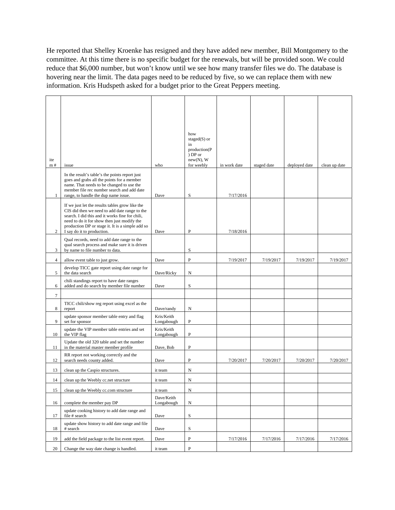He reported that Shelley Kroenke has resigned and they have added new member, Bill Montgomery to the committee. At this time there is no specific budget for the renewals, but will be provided soon. We could reduce that \$6,000 number, but won't know until we see how many transfer files we do. The database is hovering near the limit. The data pages need to be reduced by five, so we can replace them with new information. Kris Hudspeth asked for a budget prior to the Great Peppers meeting.

 $\overline{a}$ 

| ite            |                                                                                                                                                                                                                                                                                      |                          | how<br>staged $(S)$ or<br>in<br>production(P<br>) DP or<br>$new(N)$ , W |              |             |               |               |
|----------------|--------------------------------------------------------------------------------------------------------------------------------------------------------------------------------------------------------------------------------------------------------------------------------------|--------------------------|-------------------------------------------------------------------------|--------------|-------------|---------------|---------------|
| m#             | issue                                                                                                                                                                                                                                                                                | who                      | for weebly                                                              | in work date | staged date | deployed date | clean up date |
| 1              | In the result's table's the points report just<br>goes and grabs all the points for a member<br>name. That needs to be changed to use the<br>member file rec number search and add date<br>range, to handle the dup name issue.                                                      | Dave                     | S                                                                       | 7/17/2016    |             |               |               |
| $\overline{2}$ | If we just let the results tables grow like the<br>CIS did then we need to add date range to the<br>search. I did this and it works fine for chili,<br>need to do it for show then just modify the<br>production DP or stage it. It is a simple add so<br>I say do it to production. | Dave                     | $\mathbf{P}$                                                            | 7/18/2016    |             |               |               |
| 3              | Qual records, need to add date range to the<br>qual search process and make sure it is driven<br>by name to file number to data.                                                                                                                                                     |                          | S                                                                       |              |             |               |               |
| $\overline{4}$ | allow event table to just grow.                                                                                                                                                                                                                                                      | Dave                     | $\mathbf{P}$                                                            | 7/19/2017    | 7/19/2017   | 7/19/2017     | 7/19/2017     |
| 5              | develop TICC gate report using date range for<br>the data search                                                                                                                                                                                                                     | Dave/Ricky               | N                                                                       |              |             |               |               |
| 6              | chili standings report to have date ranges<br>added and do search by member file number                                                                                                                                                                                              | Dave                     | S                                                                       |              |             |               |               |
| $\tau$         |                                                                                                                                                                                                                                                                                      |                          |                                                                         |              |             |               |               |
| 8              | TICC chili/show reg report using excel as the<br>report                                                                                                                                                                                                                              | Dave/randy               | N                                                                       |              |             |               |               |
| 9              | update sponsor member table entry and flag<br>set for sponsor                                                                                                                                                                                                                        | Kris/Keith<br>Longabough | P                                                                       |              |             |               |               |
| 10             | update the VIP member table entries and set<br>the VIP flag                                                                                                                                                                                                                          | Kris/Keith<br>Longabough | P                                                                       |              |             |               |               |
| 11             | Update the old 320 table and set the number<br>in the material master member profile                                                                                                                                                                                                 | Dave, Bob                | P                                                                       |              |             |               |               |
| 12             | RR report not working correctly and the<br>search needs county added.                                                                                                                                                                                                                | Dave                     | $\mathbf{P}$                                                            | 7/20/2017    | 7/20/2017   | 7/20/2017     | 7/20/2017     |
| 13             | clean up the Caspio structures.                                                                                                                                                                                                                                                      | it team                  | N                                                                       |              |             |               |               |
| 14             | clean up the Weebly cc.net structure                                                                                                                                                                                                                                                 | it team                  | N                                                                       |              |             |               |               |
| 15             | clean up the Weebly cc.com structure                                                                                                                                                                                                                                                 | it team                  | $\mathbf N$                                                             |              |             |               |               |
| 16             | complete the member pay DP                                                                                                                                                                                                                                                           | Dave/Keith<br>Longabough | N                                                                       |              |             |               |               |
| 17             | update cooking history to add date range and<br>file # search                                                                                                                                                                                                                        | Dave                     | $\rm S$                                                                 |              |             |               |               |
| 18             | update show history to add date range and file<br># search                                                                                                                                                                                                                           | Dave                     | S                                                                       |              |             |               |               |
| 19             | add the field package to the list event report.                                                                                                                                                                                                                                      | Dave                     | $\, {\bf P}$                                                            | 7/17/2016    | 7/17/2016   | 7/17/2016     | 7/17/2016     |
| 20             | Change the way date change is handled.                                                                                                                                                                                                                                               | it team                  | ${\bf P}$                                                               |              |             |               |               |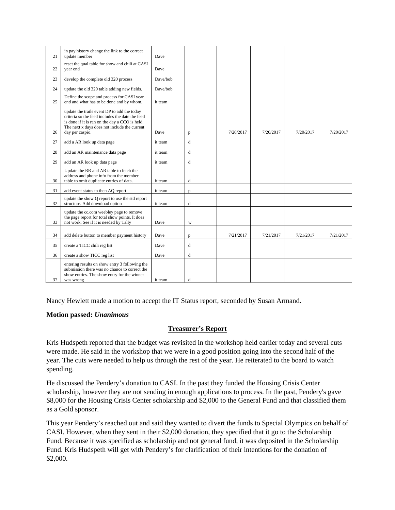| 21 | in pay history change the link to the correct<br>update member                                                                                                                                                      | Dave     |   |           |           |           |           |
|----|---------------------------------------------------------------------------------------------------------------------------------------------------------------------------------------------------------------------|----------|---|-----------|-----------|-----------|-----------|
|    | reset the qual table for show and chili at CASI                                                                                                                                                                     |          |   |           |           |           |           |
| 22 | vear end                                                                                                                                                                                                            | Dave     |   |           |           |           |           |
| 23 | develop the complete old 320 process                                                                                                                                                                                | Dave/bob |   |           |           |           |           |
| 24 | update the old 320 table adding new fields.                                                                                                                                                                         | Dave/bob |   |           |           |           |           |
| 25 | Define the scope and process for CASI year<br>end and what has to be done and by whom.                                                                                                                              | it team  |   |           |           |           |           |
| 26 | update the trails event DP to add the today<br>criteria so the feed includes the date the feed<br>is done if it is ran on the day a CCO is held.<br>The next x days does not include the current<br>day per caspio. | Dave     | p | 7/20/2017 | 7/20/2017 | 7/20/2017 | 7/20/2017 |
| 27 | add a AR look up data page                                                                                                                                                                                          | it team  | d |           |           |           |           |
| 28 | add an AR maintenance data page                                                                                                                                                                                     | it team  | d |           |           |           |           |
| 29 | add an AR look up data page                                                                                                                                                                                         | it team  | d |           |           |           |           |
| 30 | Update the RR and AR table to fetch the<br>address and phone info from the member<br>table to omit duplicate entries of data.                                                                                       | it team  | d |           |           |           |           |
| 31 | add event status to then AQ report                                                                                                                                                                                  | it team  | p |           |           |           |           |
| 32 | update the show Q report to use the std report<br>structure. Add download option                                                                                                                                    | it team  | d |           |           |           |           |
| 33 | update the cc.com weebley page to remove<br>the page report for total show points. It does<br>not work. See if it is needed by Tally                                                                                | Dave     | W |           |           |           |           |
| 34 | add delete button to member payment history                                                                                                                                                                         | Dave     | D | 7/21/2017 | 7/21/2017 | 7/21/2017 | 7/21/2017 |
| 35 | create a TICC chili reg list                                                                                                                                                                                        | Dave     | d |           |           |           |           |
| 36 | create a show TICC reg list                                                                                                                                                                                         | Dave     | d |           |           |           |           |
| 37 | entering results on show entry 3 following the<br>submission there was no chance to correct the<br>show entries. The show entry for the winner<br>was wrong                                                         | it team  | d |           |           |           |           |

Nancy Hewlett made a motion to accept the IT Status report, seconded by Susan Armand.

### **Motion passed:** *Unanimous*

## **Treasurer's Report**

Kris Hudspeth reported that the budget was revisited in the workshop held earlier today and several cuts were made. He said in the workshop that we were in a good position going into the second half of the year. The cuts were needed to help us through the rest of the year. He reiterated to the board to watch spending.

He discussed the Pendery's donation to CASI. In the past they funded the Housing Crisis Center scholarship, however they are not sending in enough applications to process. In the past, Pendery's gave \$8,000 for the Housing Crisis Center scholarship and \$2,000 to the General Fund and that classified them as a Gold sponsor.

This year Pendery's reached out and said they wanted to divert the funds to Special Olympics on behalf of CASI. However, when they sent in their \$2,000 donation, they specified that it go to the Scholarship Fund. Because it was specified as scholarship and not general fund, it was deposited in the Scholarship Fund. Kris Hudspeth will get with Pendery's for clarification of their intentions for the donation of \$2,000.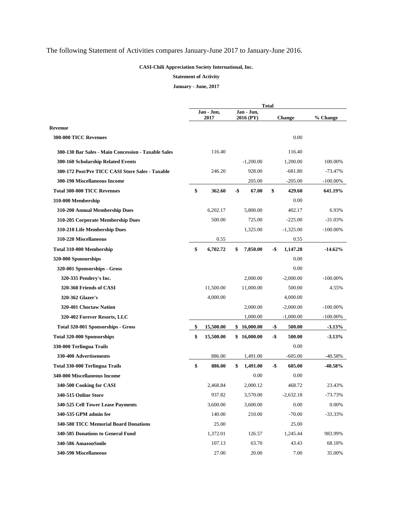## The following Statement of Activities compares January-June 2017 to January-June 2016.

#### **CASI-Chili Appreciation Society International, Inc.**

#### **Statement of Activity**

**January - June, 2017** 

| <b>Total</b> |           |            |             |                                                                          |             |                       |
|--------------|-----------|------------|-------------|--------------------------------------------------------------------------|-------------|-----------------------|
|              | 2017      |            |             |                                                                          |             | % Change              |
|              |           |            |             |                                                                          |             |                       |
|              |           |            |             |                                                                          | 0.00        |                       |
|              | 116.40    |            |             |                                                                          | 116.40      |                       |
|              |           |            | $-1,200.00$ |                                                                          | 1,200.00    | 100.00%               |
|              | 246.20    |            | 928.00      |                                                                          | $-681.80$   | $-73.47%$             |
|              |           |            | 205.00      |                                                                          | $-205.00$   | $-100.00\%$           |
| \$           | 362.60    |            | 67.00       | \$                                                                       | 429.60      | 641.19%               |
|              |           |            |             |                                                                          | 0.00        |                       |
|              | 6,202.17  |            | 5,800.00    |                                                                          | 402.17      | 6.93%                 |
|              | 500.00    |            | 725.00      |                                                                          | $-225.00$   | $-31.03%$             |
|              |           |            | 1,325.00    |                                                                          | $-1,325.00$ | $-100.00\%$           |
|              | 0.55      |            |             |                                                                          | 0.55        |                       |
| \$           | 6,702.72  | \$         | 7,850.00    | -\$                                                                      | 1,147.28    | $-14.62%$             |
|              |           |            |             |                                                                          | 0.00        |                       |
|              |           |            |             |                                                                          | 0.00        |                       |
|              |           |            | 2,000.00    |                                                                          | $-2,000.00$ | $-100.00\%$           |
|              | 11,500.00 |            | 11,000.00   |                                                                          | 500.00      | 4.55%                 |
|              | 4,000.00  |            |             |                                                                          | 4,000.00    |                       |
|              |           |            | 2,000.00    |                                                                          | $-2,000.00$ | $-100.00\%$           |
|              |           |            | 1,000.00    |                                                                          | $-1,000.00$ | $-100.00\%$           |
| \$           | 15,500.00 |            |             | -\$                                                                      | 500.00      | $-3.13%$              |
| \$           | 15,500.00 |            |             | -\$                                                                      | 500.00      | $-3.13%$              |
|              |           |            |             |                                                                          | 0.00        |                       |
|              | 886.00    |            | 1,491.00    |                                                                          | $-605.00$   | -40.58%               |
| \$           | 886.00    | \$         | 1,491.00    | -\$                                                                      | 605.00      | $-40.58%$             |
|              |           |            | 0.00        |                                                                          | 0.00        |                       |
|              | 2,468.84  |            | 2,000.12    |                                                                          | 468.72      | 23.43%                |
|              | 937.82    |            |             |                                                                          |             | $-73.73%$             |
|              | 3,600.00  |            | 3,600.00    |                                                                          | 0.00        | 0.00%                 |
|              | 140.00    |            | 210.00      |                                                                          | $-70.00$    | $-33.33%$             |
|              | 25.00     |            |             |                                                                          | 25.00       |                       |
|              | 1,372.01  |            | 126.57      |                                                                          | 1,245.44    | 983.99%               |
|              | 107.13    |            | 63.70       |                                                                          | 43.43       | 68.18%                |
|              | 27.00     |            | 20.00       |                                                                          | 7.00        | 35.00%                |
|              |           | Jan - Jun, |             | Jan - Jun,<br>2016 (PY)<br>-\$<br>\$16,000.00<br>\$16,000.00<br>3,570.00 |             | Change<br>$-2,632.18$ |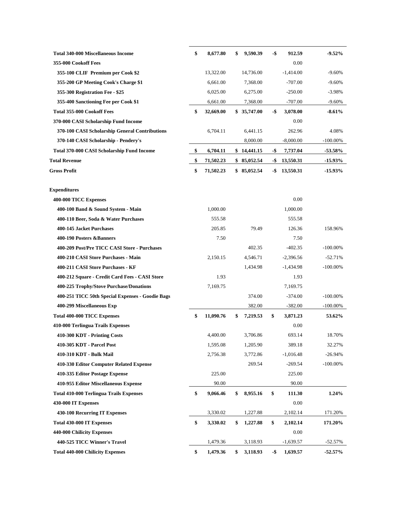| <b>Total 340-000 Miscellaneous Income</b>        | \$<br>8,677.80  | \$<br>9,590.39 | -\$ | 912.59      | $-9.52%$    |
|--------------------------------------------------|-----------------|----------------|-----|-------------|-------------|
| 355-000 Cookoff Fees                             |                 |                |     | 0.00        |             |
| 355-100 CLIF Premium per Cook \$2                | 13,322.00       | 14,736.00      |     | $-1,414.00$ | $-9.60%$    |
| 355-200 GP Meeting Cook's Charge \$1             | 6,661.00        | 7,368.00       |     | $-707.00$   | $-9.60%$    |
| 355-300 Registration Fee - \$25                  | 6,025.00        | 6,275.00       |     | $-250.00$   | $-3.98%$    |
| 355-400 Sanctioning Fee per Cook \$1             | 6,661.00        | 7,368.00       |     | $-707.00$   | $-9.60%$    |
| <b>Total 355-000 Cookoff Fees</b>                | \$<br>32,669.00 | \$35,747.00    | -\$ | 3,078.00    | $-8.61%$    |
| 370-000 CASI Scholarship Fund Income             |                 |                |     | 0.00        |             |
| 370-100 CASI Scholarship General Contributions   | 6,704.11        | 6,441.15       |     | 262.96      | 4.08%       |
| 370-140 CASI Scholarship - Pendery's             |                 | 8,000.00       |     | $-8,000.00$ | $-100.00\%$ |
| Total 370-000 CASI Scholarship Fund Income       | \$<br>6,704.11  | \$14,441.15    | -\$ | 7,737.04    | $-53.58\%$  |
| <b>Total Revenue</b>                             | \$<br>71,502.23 | \$85,052.54    | -\$ | 13,550.31   | $-15.93\%$  |
| <b>Gross Profit</b>                              | \$<br>71,502.23 | \$85,052.54    | -\$ | 13,550.31   | $-15.93%$   |
| <b>Expenditures</b>                              |                 |                |     |             |             |
| 400-000 TICC Expenses                            |                 |                |     | 0.00        |             |
| 400-100 Band & Sound System - Main               | 1,000.00        |                |     | 1,000.00    |             |
| 400-110 Beer, Soda & Water Purchases             | 555.58          |                |     | 555.58      |             |
| 400-145 Jacket Purchases                         | 205.85          | 79.49          |     | 126.36      | 158.96%     |
| 400-190 Posters & Banners                        | 7.50            |                |     | 7.50        |             |
| 400-209 Post/Pre TICC CASI Store - Purchases     |                 | 402.35         |     | $-402.35$   | $-100.00\%$ |
| 400-210 CASI Store Purchases - Main              | 2,150.15        | 4,546.71       |     | $-2,396.56$ | $-52.71%$   |
| 400-211 CASI Store Purchases - KF                |                 | 1,434.98       |     | $-1,434.98$ | $-100.00\%$ |
| 400-212 Square - Credit Card Fees - CASI Store   | 1.93            |                |     | 1.93        |             |
| 400-225 Trophy/Stove Purchase/Donations          | 7,169.75        |                |     | 7,169.75    |             |
| 400-251 TICC 50th Special Expenses - Goodie Bags |                 | 374.00         |     | $-374.00$   | $-100.00\%$ |
| 400-299 Miscellaneous Exp                        |                 | 382.00         |     | $-382.00$   | $-100.00\%$ |
| <b>Total 400-000 TICC Expenses</b>               | \$<br>11,090.76 | \$<br>7,219.53 | \$  | 3,871.23    | 53.62%      |
| 410-000 Terlingua Trails Expenses                |                 |                |     | 0.00        |             |
| 410-300 KDT - Printing Costs                     | 4,400.00        | 3,706.86       |     | 693.14      | 18.70%      |
| 410-305 KDT - Parcel Post                        | 1,595.08        | 1,205.90       |     | 389.18      | 32.27%      |
| 410-310 KDT - Bulk Mail                          | 2,756.38        | 3,772.86       |     | $-1,016.48$ | $-26.94%$   |
| 410-330 Editor Computer Related Expense          |                 | 269.54         |     | $-269.54$   | $-100.00\%$ |
| 410-335 Editor Postage Expense                   | 225.00          |                |     | 225.00      |             |
| 410-955 Editor Miscellaneous Expense             | 90.00           |                |     | 90.00       |             |
| <b>Total 410-000 Terlingua Trails Expenses</b>   | \$<br>9,066.46  | \$<br>8,955.16 | \$  | 111.30      | 1.24%       |
| 430-000 IT Expenses                              |                 |                |     | 0.00        |             |
| 430-100 Recurring IT Expenses                    | 3,330.02        | 1,227.88       |     | 2,102.14    | 171.20%     |
| <b>Total 430-000 IT Expenses</b>                 | \$<br>3,330.02  | \$<br>1,227.88 | \$  | 2,102.14    | 171.20%     |
| 440-000 Chilicity Expenses                       |                 |                |     | 0.00        |             |
| 440-525 TICC Winner's Travel                     | 1,479.36        | 3,118.93       |     | $-1,639.57$ | $-52.57%$   |
| <b>Total 440-000 Chilicity Expenses</b>          | \$<br>1,479.36  | \$<br>3,118.93 | -\$ | 1,639.57    | $-52.57\%$  |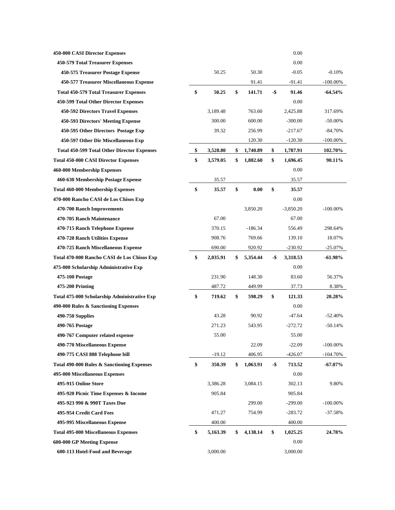| 450-000 CASI Director Expenses                     |                |                |        | 0.00        |             |
|----------------------------------------------------|----------------|----------------|--------|-------------|-------------|
| 450-579 Total Treasurer Expenses                   |                |                |        | 0.00        |             |
| 450-575 Treasurer Postage Expense                  | 50.25          | 50.30          |        | $-0.05$     | $-0.10%$    |
| 450-577 Treasurer Miscellaneous Expense            |                | 91.41          |        | $-91.41$    | $-100.00\%$ |
| <b>Total 450-579 Total Treasurer Expenses</b>      | \$<br>50.25    | \$<br>141.71   | -\$    | 91.46       | $-64.54%$   |
| 450-599 Total Other Director Expenses              |                |                |        | 0.00        |             |
| 450-592 Directors Travel Expenses                  | 3,189.48       | 763.60         |        | 2,425.88    | 317.69%     |
| 450-593 Directors' Meeting Expense                 | 300.00         | 600.00         |        | $-300.00$   | $-50.00\%$  |
| 450-595 Other Directors Postage Exp                | 39.32          | 256.99         |        | $-217.67$   | $-84.70%$   |
| 450-597 Other Dir Miscellaneous Exp                |                | 120.30         |        | $-120.30$   | $-100.00\%$ |
| <b>Total 450-599 Total Other Director Expenses</b> | \$<br>3,528.80 | \$<br>1,740.89 | \$     | 1,787.91    | 102.70%     |
| <b>Total 450-000 CASI Director Expenses</b>        | \$<br>3,579.05 | \$<br>1,882.60 | \$     | 1,696.45    | 90.11%      |
| 460-000 Membership Expenses                        |                |                |        | 0.00        |             |
| 460-630 Membership Postage Expense                 | 35.57          |                |        | 35.57       |             |
| <b>Total 460-000 Membership Expenses</b>           | \$<br>35.57    | \$<br>0.00     | \$     | 35.57       |             |
| 470-000 Rancho CASI de Los Chisos Exp              |                |                |        | 0.00        |             |
| 470-700 Ranch Improvements                         |                | 3,850.20       |        | $-3,850.20$ | $-100.00\%$ |
| 470-705 Ranch Maintenance                          | 67.00          |                |        | 67.00       |             |
| 470-715 Ranch Telephone Expense                    | 370.15         | $-186.34$      |        | 556.49      | 298.64%     |
| 470-720 Ranch Utilities Expense                    | 908.76         | 769.66         |        | 139.10      | 18.07%      |
| 470-725 Ranch Miscellaneous Expense                | 690.00         | 920.92         |        | $-230.92$   | $-25.07\%$  |
|                                                    |                |                |        |             |             |
| Total 470-000 Rancho CASI de Los Chisos Exp        | \$<br>2,035.91 | \$<br>5,354.44 | -\$    | 3,318.53    | $-61.98%$   |
| 475-000 Scholarship Administrative Exp             |                |                |        | 0.00        |             |
| 475-100 Postage                                    | 231.90         | 148.30         |        | 83.60       | 56.37%      |
| <b>475-200 Printing</b>                            | 487.72         | 449.99         |        | 37.73       | 8.38%       |
| Total 475-000 Scholarship Administrative Exp       | \$<br>719.62   | \$<br>598.29   | \$     | 121.33      | 20.28%      |
| 490-000 Rules & Sanctioning Expenses               |                |                |        | 0.00        |             |
| 490-750 Supplies                                   | 43.28          | 90.92          |        | $-47.64$    | $-52.40%$   |
| 490-765 Postage                                    | 271.23         | 543.95         |        | $-272.72$   | $-50.14%$   |
| 490-767 Computer related expense                   | 55.00          |                |        | 55.00       |             |
| 490-770 Miscellaneous Expense                      |                | 22.09          |        | $-22.09$    | $-100.00\%$ |
| 490-775 CASI 888 Telephone bill                    | $-19.12$       | 406.95         |        | $-426.07$   | -104.70%    |
| Total 490-000 Rules & Sanctioning Expenses         | \$<br>350.39   | \$<br>1,063.91 | $-$ \$ | 713.52      | $-67.07\%$  |
| 495-000 Miscellaneous Expenses                     |                |                |        | 0.00        |             |
| 495-915 Online Store                               | 3,386.28       | 3,084.15       |        | 302.13      | 9.80%       |
| 495-920 Picnic Time Expenses & Income              | 905.84         |                |        | 905.84      |             |
| 495-923 990 & 990T Taxes Due                       |                | 299.00         |        | $-299.00$   | $-100.00\%$ |
| 495-954 Credit Card Fees                           | 471.27         | 754.99         |        | $-283.72$   | $-37.58%$   |
| 495-995 Miscellaneous Expense                      | 400.00         |                |        | 400.00      |             |
| <b>Total 495-000 Miscellaneous Expenses</b>        | \$<br>5,163.39 | \$<br>4,138.14 | \$     | 1,025.25    | 24.78%      |
| 600-000 GP Meeting Expense                         |                |                |        | 0.00        |             |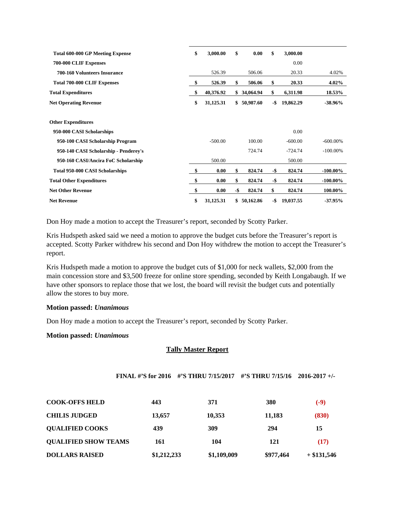| <b>Total 600-000 GP Meeting Expense</b> | \$<br>3,000.00  | \$  | 0.00        | \$  | 3,000.00  |             |
|-----------------------------------------|-----------------|-----|-------------|-----|-----------|-------------|
| 700-000 CLIF Expenses                   |                 |     |             |     | 0.00      |             |
| <b>700-160 Volunteers Insurance</b>     | 526.39          |     | 506.06      |     | 20.33     | 4.02%       |
| <b>Total 700-000 CLIF Expenses</b>      | \$<br>526.39    | \$  | 506.06      | \$  | 20.33     | $4.02\%$    |
| <b>Total Expenditures</b>               | \$<br>40,376.92 |     | \$34,064.94 | \$  | 6,311.98  | 18.53%      |
| <b>Net Operating Revenue</b>            | \$<br>31,125.31 | \$  | 50,987.60   | -\$ | 19,862.29 | $-38.96\%$  |
| <b>Other Expenditures</b>               |                 |     |             |     |           |             |
| 950-000 CASI Scholarships               |                 |     |             |     | 0.00      |             |
| 950-100 CASI Scholarship Program        | $-500.00$       |     | 100.00      |     | $-600.00$ | $-600.00\%$ |
| 950-140 CASI Scholarship - Penderey's   |                 |     | 724.74      |     | $-724.74$ | $-100.00\%$ |
| 950-160 CASI/Ancira FoC Scholarship     | 500.00          |     |             |     | 500.00    |             |
| <b>Total 950-000 CASI Scholarships</b>  | \$<br>0.00      | \$  | 824.74      | -\$ | 824.74    | $-100.00\%$ |
| <b>Total Other Expenditures</b>         | \$<br>0.00      | \$  | 824.74      | -\$ | 824.74    | $-100.00\%$ |
| <b>Net Other Revenue</b>                | \$<br>0.00      | -\$ | 824.74      | \$  | 824.74    | 100.00%     |
| <b>Net Revenue</b>                      | \$<br>31,125.31 | \$  | 50,162.86   | -\$ | 19,037.55 | $-37.95%$   |

Don Hoy made a motion to accept the Treasurer's report, seconded by Scotty Parker.

Kris Hudspeth asked said we need a motion to approve the budget cuts before the Treasurer's report is accepted. Scotty Parker withdrew his second and Don Hoy withdrew the motion to accept the Treasurer's report.

Kris Hudspeth made a motion to approve the budget cuts of \$1,000 for neck wallets, \$2,000 from the main concession store and \$3,500 freeze for online store spending, seconded by Keith Longabaugh. If we have other sponsors to replace those that we lost, the board will revisit the budget cuts and potentially allow the stores to buy more.

### **Motion passed:** *Unanimous*

Don Hoy made a motion to accept the Treasurer's report, seconded by Scotty Parker.

### **Motion passed:** *Unanimous*

### **Tally Master Report**

|  | FINAL #'S for 2016 #'S THRU 7/15/2017 #'S THRU 7/15/16 2016-2017 +/- |  |  |
|--|----------------------------------------------------------------------|--|--|
|--|----------------------------------------------------------------------|--|--|

| <b>COOK-OFFS HELD</b>       | 443         | 371         | 380       | $(-9)$        |
|-----------------------------|-------------|-------------|-----------|---------------|
| <b>CHILIS JUDGED</b>        | 13,657      | 10,353      | 11,183    | (830)         |
| <b>QUALIFIED COOKS</b>      | 439         | 309         | 294       | 15            |
| <b>QUALIFIED SHOW TEAMS</b> | 161         | 104         | 121       | (17)          |
| <b>DOLLARS RAISED</b>       | \$1,212,233 | \$1,109,009 | \$977,464 | $+$ \$131,546 |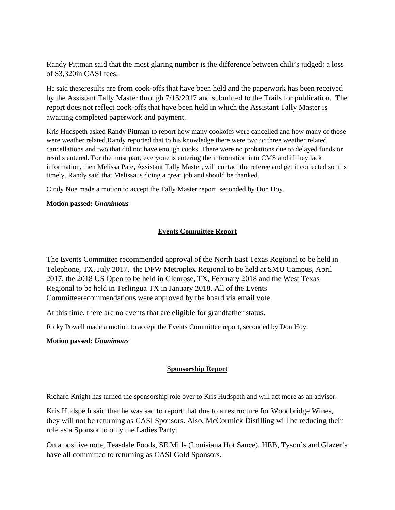Randy Pittman said that the most glaring number is the difference between chili's judged: a loss of \$3,320in CASI fees.

He said theseresults are from cook-offs that have been held and the paperwork has been received by the Assistant Tally Master through 7/15/2017 and submitted to the Trails for publication. The report does not reflect cook-offs that have been held in which the Assistant Tally Master is awaiting completed paperwork and payment.

Kris Hudspeth asked Randy Pittman to report how many cookoffs were cancelled and how many of those were weather related.Randy reported that to his knowledge there were two or three weather related cancellations and two that did not have enough cooks. There were no probations due to delayed funds or results entered. For the most part, everyone is entering the information into CMS and if they lack information, then Melissa Pate, Assistant Tally Master, will contact the referee and get it corrected so it is timely. Randy said that Melissa is doing a great job and should be thanked.

Cindy Noe made a motion to accept the Tally Master report, seconded by Don Hoy.

### **Motion passed:** *Unanimous*

## **Events Committee Report**

The Events Committee recommended approval of the North East Texas Regional to be held in Telephone, TX, July 2017, the DFW Metroplex Regional to be held at SMU Campus, April 2017, the 2018 US Open to be held in Glenrose, TX, February 2018 and the West Texas Regional to be held in Terlingua TX in January 2018. All of the Events Committeerecommendations were approved by the board via email vote.

At this time, there are no events that are eligible for grandfather status.

Ricky Powell made a motion to accept the Events Committee report, seconded by Don Hoy.

**Motion passed:** *Unanimous* 

## **Sponsorship Report**

Richard Knight has turned the sponsorship role over to Kris Hudspeth and will act more as an advisor.

Kris Hudspeth said that he was sad to report that due to a restructure for Woodbridge Wines, they will not be returning as CASI Sponsors. Also, McCormick Distilling will be reducing their role as a Sponsor to only the Ladies Party.

On a positive note, Teasdale Foods, SE Mills (Louisiana Hot Sauce), HEB, Tyson's and Glazer's have all committed to returning as CASI Gold Sponsors.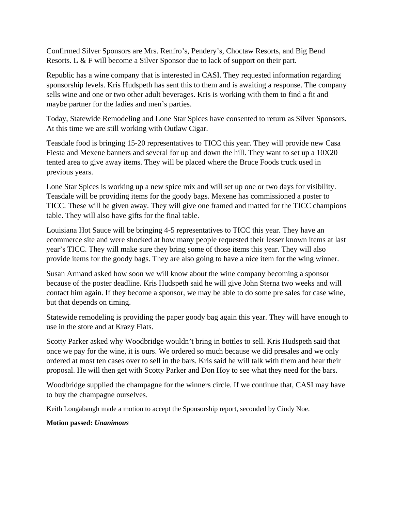Confirmed Silver Sponsors are Mrs. Renfro's, Pendery's, Choctaw Resorts, and Big Bend Resorts. L & F will become a Silver Sponsor due to lack of support on their part.

Republic has a wine company that is interested in CASI. They requested information regarding sponsorship levels. Kris Hudspeth has sent this to them and is awaiting a response. The company sells wine and one or two other adult beverages. Kris is working with them to find a fit and maybe partner for the ladies and men's parties.

Today, Statewide Remodeling and Lone Star Spices have consented to return as Silver Sponsors. At this time we are still working with Outlaw Cigar.

Teasdale food is bringing 15-20 representatives to TICC this year. They will provide new Casa Fiesta and Mexene banners and several for up and down the hill. They want to set up a 10X20 tented area to give away items. They will be placed where the Bruce Foods truck used in previous years.

Lone Star Spices is working up a new spice mix and will set up one or two days for visibility. Teasdale will be providing items for the goody bags. Mexene has commissioned a poster to TICC. These will be given away. They will give one framed and matted for the TICC champions table. They will also have gifts for the final table.

Louisiana Hot Sauce will be bringing 4-5 representatives to TICC this year. They have an ecommerce site and were shocked at how many people requested their lesser known items at last year's TICC. They will make sure they bring some of those items this year. They will also provide items for the goody bags. They are also going to have a nice item for the wing winner.

Susan Armand asked how soon we will know about the wine company becoming a sponsor because of the poster deadline. Kris Hudspeth said he will give John Sterna two weeks and will contact him again. If they become a sponsor, we may be able to do some pre sales for case wine, but that depends on timing.

Statewide remodeling is providing the paper goody bag again this year. They will have enough to use in the store and at Krazy Flats.

Scotty Parker asked why Woodbridge wouldn't bring in bottles to sell. Kris Hudspeth said that once we pay for the wine, it is ours. We ordered so much because we did presales and we only ordered at most ten cases over to sell in the bars. Kris said he will talk with them and hear their proposal. He will then get with Scotty Parker and Don Hoy to see what they need for the bars.

Woodbridge supplied the champagne for the winners circle. If we continue that, CASI may have to buy the champagne ourselves.

Keith Longabaugh made a motion to accept the Sponsorship report, seconded by Cindy Noe.

**Motion passed:** *Unanimous*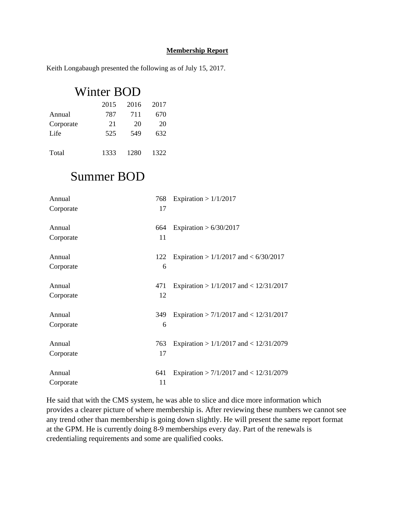### **Membership Report**

Keith Longabaugh presented the following as of July 15, 2017.

# Winter BOD

|           | 2015 | 2016 | 2017 |
|-----------|------|------|------|
| Annual    | 787  | 711  | 670  |
| Corporate | 21   | 20   | 20   |
| Life      | 525  | 549  | 632  |
|           |      |      |      |
| Total     | 1333 | 1280 | 1322 |

## Summer BOD

| Annual    | 768 | Expiration > $1/1/2017$                    |
|-----------|-----|--------------------------------------------|
| Corporate | 17  |                                            |
| Annual    | 664 | Expiration > $6/30/2017$                   |
| Corporate | 11  |                                            |
| Annual    | 122 | Expiration > $1/1/2017$ and < $6/30/2017$  |
| Corporate | 6   |                                            |
| Annual    | 471 | Expiration > $1/1/2017$ and < $12/31/2017$ |
| Corporate | 12  |                                            |
| Annual    | 349 | Expiration > $7/1/2017$ and < $12/31/2017$ |
| Corporate | 6   |                                            |
| Annual    | 763 | Expiration > $1/1/2017$ and < $12/31/2079$ |
| Corporate | 17  |                                            |
| Annual    | 641 | Expiration > $7/1/2017$ and < $12/31/2079$ |
| Corporate | 11  |                                            |

He said that with the CMS system, he was able to slice and dice more information which provides a clearer picture of where membership is. After reviewing these numbers we cannot see any trend other than membership is going down slightly. He will present the same report format at the GPM. He is currently doing 8-9 memberships every day. Part of the renewals is credentialing requirements and some are qualified cooks.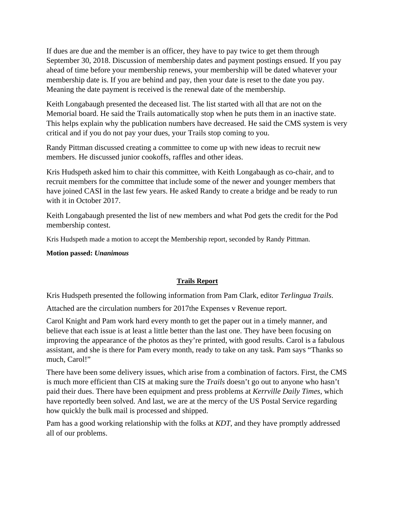If dues are due and the member is an officer, they have to pay twice to get them through September 30, 2018. Discussion of membership dates and payment postings ensued. If you pay ahead of time before your membership renews, your membership will be dated whatever your membership date is. If you are behind and pay, then your date is reset to the date you pay. Meaning the date payment is received is the renewal date of the membership.

Keith Longabaugh presented the deceased list. The list started with all that are not on the Memorial board. He said the Trails automatically stop when he puts them in an inactive state. This helps explain why the publication numbers have decreased. He said the CMS system is very critical and if you do not pay your dues, your Trails stop coming to you.

Randy Pittman discussed creating a committee to come up with new ideas to recruit new members. He discussed junior cookoffs, raffles and other ideas.

Kris Hudspeth asked him to chair this committee, with Keith Longabaugh as co-chair, and to recruit members for the committee that include some of the newer and younger members that have joined CASI in the last few years. He asked Randy to create a bridge and be ready to run with it in October 2017.

Keith Longabaugh presented the list of new members and what Pod gets the credit for the Pod membership contest.

Kris Hudspeth made a motion to accept the Membership report, seconded by Randy Pittman.

**Motion passed:** *Unanimous*

## **Trails Report**

Kris Hudspeth presented the following information from Pam Clark, editor *Terlingua Trails*.

Attached are the circulation numbers for 2017the Expenses v Revenue report.

Carol Knight and Pam work hard every month to get the paper out in a timely manner, and believe that each issue is at least a little better than the last one. They have been focusing on improving the appearance of the photos as they're printed, with good results. Carol is a fabulous assistant, and she is there for Pam every month, ready to take on any task. Pam says "Thanks so much, Carol!"

There have been some delivery issues, which arise from a combination of factors. First, the CMS is much more efficient than CIS at making sure the *Trails* doesn't go out to anyone who hasn't paid their dues. There have been equipment and press problems at *Kerrville Daily Times*, which have reportedly been solved. And last, we are at the mercy of the US Postal Service regarding how quickly the bulk mail is processed and shipped.

Pam has a good working relationship with the folks at *KDT*, and they have promptly addressed all of our problems.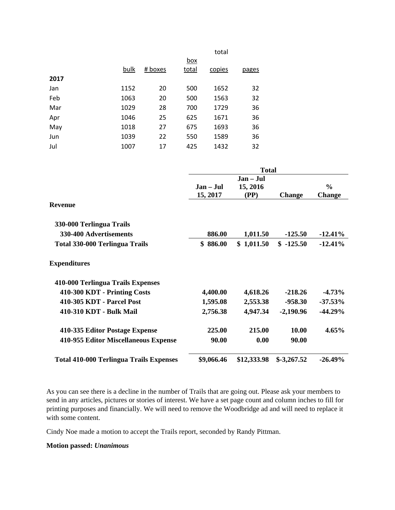|      |      |         |            | total  |              |
|------|------|---------|------------|--------|--------------|
|      |      |         | <u>box</u> |        |              |
|      | bulk | # boxes | total      | copies | <u>pages</u> |
| 2017 |      |         |            |        |              |
| Jan  | 1152 | 20      | 500        | 1652   | 32           |
| Feb  | 1063 | 20      | 500        | 1563   | 32           |
| Mar  | 1029 | 28      | 700        | 1729   | 36           |
| Apr  | 1046 | 25      | 625        | 1671   | 36           |
| May  | 1018 | 27      | 675        | 1693   | 36           |
| Jun  | 1039 | 22      | 550        | 1589   | 36           |
| Jul  | 1007 | 17      | 425        | 1432   | 32           |

|                                                | <b>Total</b> |             |               |               |  |  |
|------------------------------------------------|--------------|-------------|---------------|---------------|--|--|
|                                                |              |             |               |               |  |  |
|                                                | Jan – Jul    | 15, 2016    |               | $\frac{6}{9}$ |  |  |
|                                                | 15, 2017     | (PP)        | <b>Change</b> | <b>Change</b> |  |  |
| Revenue                                        |              |             |               |               |  |  |
| 330-000 Terlingua Trails                       |              |             |               |               |  |  |
| 330-400 Advertisements                         | 886.00       | 1,011.50    | $-125.50$     | $-12.41%$     |  |  |
| <b>Total 330-000 Terlingua Trails</b>          | \$86.00      | \$1,011.50  | $$ -125.50$   | $-12.41%$     |  |  |
| <b>Expenditures</b>                            |              |             |               |               |  |  |
| 410-000 Terlingua Trails Expenses              |              |             |               |               |  |  |
| 410-300 KDT - Printing Costs                   | 4,400.00     | 4,618.26    | $-218.26$     | $-4.73%$      |  |  |
| 410-305 KDT - Parcel Post                      | 1,595.08     | 2,553.38    | -958.30       | $-37.53\%$    |  |  |
| 410-310 KDT - Bulk Mail                        | 2,756.38     | 4,947.34    | $-2,190.96$   | $-44.29%$     |  |  |
| 410-335 Editor Postage Expense                 | 225.00       | 215.00      | 10.00         | $4.65\%$      |  |  |
| 410-955 Editor Miscellaneous Expense           | 90.00        | 0.00        | 90.00         |               |  |  |
| <b>Total 410-000 Terlingua Trails Expenses</b> | \$9,066.46   | \$12,333.98 | $$-3,267.52$  | $-26.49\%$    |  |  |

As you can see there is a decline in the number of Trails that are going out. Please ask your members to send in any articles, pictures or stories of interest. We have a set page count and column inches to fill for printing purposes and financially. We will need to remove the Woodbridge ad and will need to replace it with some content.

Cindy Noe made a motion to accept the Trails report, seconded by Randy Pittman.

### **Motion passed:** *Unanimous*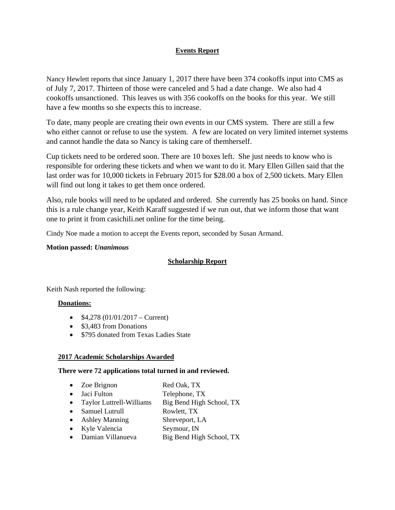## **Events Report**

Nancy Hewlett reports that since January 1, 2017 there have been 374 cookoffs input into CMS as of July 7, 2017. Thirteen of those were canceled and 5 had a date change. We also had 4 cookoffs unsanctioned. This leaves us with 356 cookoffs on the books for this year. We still have a few months so she expects this to increase.

To date, many people are creating their own events in our CMS system. There are still a few who either cannot or refuse to use the system. A few are located on very limited internet systems and cannot handle the data so Nancy is taking care of themherself.

Cup tickets need to be ordered soon. There are 10 boxes left. She just needs to know who is responsible for ordering these tickets and when we want to do it. Mary Ellen Gillen said that the last order was for 10,000 tickets in February 2015 for \$28.00 a box of 2,500 tickets. Mary Ellen will find out long it takes to get them once ordered.

Also, rule books will need to be updated and ordered. She currently has 25 books on hand. Since this is a rule change year, Keith Karaff suggested if we run out, that we inform those that want one to print it from casichili.net online for the time being.

Cindy Noe made a motion to accept the Events report, seconded by Susan Armand.

### **Motion passed:** *Unanimous*

## **Scholarship Report**

Keith Nash reported the following:

## **Donations:**

- $\bullet$  \$4,278 (01/01/2017 Current)
- \$3,483 from Donations
- \$795 donated from Texas Ladies State

### **2017 Academic Scholarships Awarded**

### **There were 72 applications total turned in and reviewed.**

• Zoe Brignon Red Oak, TX • Jaci Fulton Telephone, TX • Taylor Luttrell-Williams Big Bend High School, TX • Samuel Lutrull Rowlett, TX • Ashley Manning Shreveport, LA Kyle Valencia Seymour, IN • Damian Villanueva Big Bend High School, TX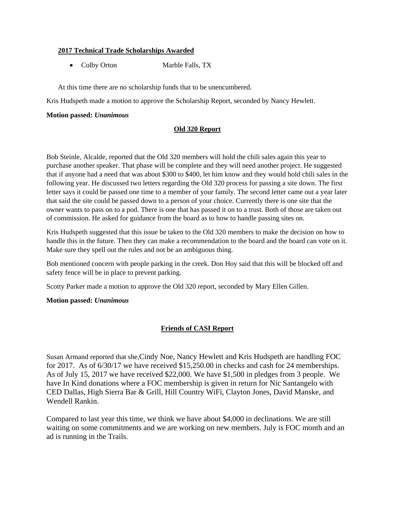### **2017 Technical Trade Scholarships Awarded**

• Colby Orton Marble Falls, TX

At this time there are no scholarship funds that to be unencumbered.

Kris Hudspeth made a motion to approve the Scholarship Report, seconded by Nancy Hewlett.

### **Motion passed:** *Unanimous*

### **Old 320 Report**

Bob Steinle, Alcalde, reported that the Old 320 members will hold the chili sales again this year to purchase another speaker. That phase will be complete and they will need another project. He suggested that if anyone had a need that was about \$300 to \$400, let him know and they would hold chili sales in the following year. He discussed two letters regarding the Old 320 process for passing a site down. The first letter says it could be passed one time to a member of your family. The second letter came out a year later that said the site could be passed down to a person of your choice. Currently there is one site that the owner wants to pass on to a pod. There is one that has passed it on to a trust. Both of those are taken out of commission. He asked for guidance from the board as to how to handle passing sites on.

Kris Hudspeth suggested that this issue be taken to the Old 320 members to make the decision on how to handle this in the future. Then they can make a recommendation to the board and the board can vote on it. Make sure they spell out the rules and not be an ambiguous thing.

Bob mentioned concern with people parking in the creek. Don Hoy said that this will be blocked off and safety fence will be in place to prevent parking.

Scotty Parker made a motion to approve the Old 320 report, seconded by Mary Ellen Gillen.

### **Motion passed:** *Unanimous*

## **Friends of CASI Report**

Susan Armand reported that she,Cindy Noe, Nancy Hewlett and Kris Hudspeth are handling FOC for 2017. As of 6/30/17 we have received \$15,250.00 in checks and cash for 24 memberships. As of July 15, 2017 we have received \$22,000. We have \$1,500 in pledges from 3 people. We have In Kind donations where a FOC membership is given in return for Nic Santangelo with CED Dallas, High Sierra Bar & Grill, Hill Country WiFi, Clayton Jones, David Manske, and Wendell Rankin.

Compared to last year this time, we think we have about \$4,000 in declinations. We are still waiting on some commitments and we are working on new members. July is FOC month and an ad is running in the Trails.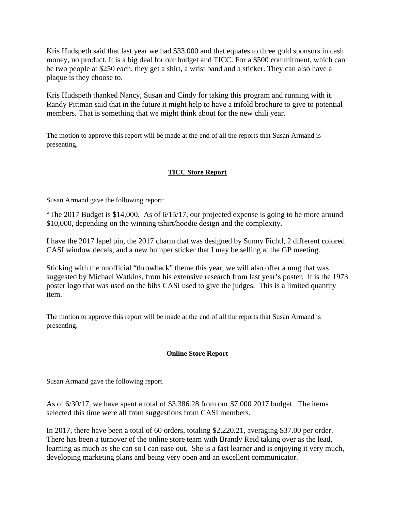Kris Hudspeth said that last year we had \$33,000 and that equates to three gold sponsors in cash money, no product. It is a big deal for our budget and TICC. For a \$500 commitment, which can be two people at \$250 each, they get a shirt, a wrist band and a sticker. They can also have a plaque is they choose to.

Kris Hudspeth thanked Nancy, Susan and Cindy for taking this program and running with it. Randy Pittman said that in the future it might help to have a trifold brochure to give to potential members. That is something that we might think about for the new chili year.

The motion to approve this report will be made at the end of all the reports that Susan Armand is presenting.

## **TICC Store Report**

Susan Armand gave the following report:

"The 2017 Budget is \$14,000. As of 6/15/17, our projected expense is going to be more around \$10,000, depending on the winning tshirt/hoodie design and the complexity.

I have the 2017 lapel pin, the 2017 charm that was designed by Sunny Fichtl, 2 different colored CASI window decals, and a new bumper sticker that I may be selling at the GP meeting.

Sticking with the unofficial "throwback" theme this year, we will also offer a mug that was suggested by Michael Watkins, from his extensive research from last year's poster. It is the 1973 poster logo that was used on the bibs CASI used to give the judges. This is a limited quantity item.

The motion to approve this report will be made at the end of all the reports that Susan Armand is presenting.

## **Online Store Report**

Susan Armand gave the following report.

As of 6/30/17, we have spent a total of \$3,386.28 from our \$7,000 2017 budget. The items selected this time were all from suggestions from CASI members.

In 2017, there have been a total of 60 orders, totaling \$2,220.21, averaging \$37.00 per order. There has been a turnover of the online store team with Brandy Reid taking over as the lead, learning as much as she can so I can ease out. She is a fast learner and is enjoying it very much, developing marketing plans and being very open and an excellent communicator.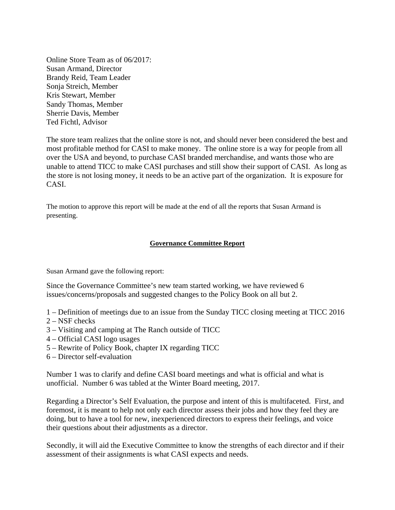Online Store Team as of 06/2017: Susan Armand, Director Brandy Reid, Team Leader Sonja Streich, Member Kris Stewart, Member Sandy Thomas, Member Sherrie Davis, Member Ted Fichtl, Advisor

The store team realizes that the online store is not, and should never been considered the best and most profitable method for CASI to make money. The online store is a way for people from all over the USA and beyond, to purchase CASI branded merchandise, and wants those who are unable to attend TICC to make CASI purchases and still show their support of CASI. As long as the store is not losing money, it needs to be an active part of the organization. It is exposure for CASI.

The motion to approve this report will be made at the end of all the reports that Susan Armand is presenting.

### **Governance Committee Report**

Susan Armand gave the following report:

Since the Governance Committee's new team started working, we have reviewed 6 issues/concerns/proposals and suggested changes to the Policy Book on all but 2.

1 – Definition of meetings due to an issue from the Sunday TICC closing meeting at TICC 2016

- 2 NSF checks
- 3 Visiting and camping at The Ranch outside of TICC
- 4 Official CASI logo usages
- 5 Rewrite of Policy Book, chapter IX regarding TICC
- 6 Director self-evaluation

Number 1 was to clarify and define CASI board meetings and what is official and what is unofficial. Number 6 was tabled at the Winter Board meeting, 2017.

Regarding a Director's Self Evaluation, the purpose and intent of this is multifaceted. First, and foremost, it is meant to help not only each director assess their jobs and how they feel they are doing, but to have a tool for new, inexperienced directors to express their feelings, and voice their questions about their adjustments as a director.

Secondly, it will aid the Executive Committee to know the strengths of each director and if their assessment of their assignments is what CASI expects and needs.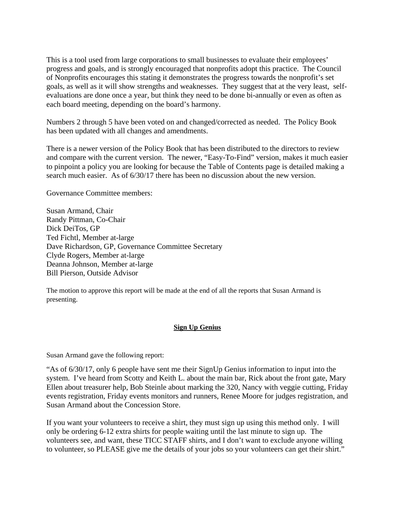This is a tool used from large corporations to small businesses to evaluate their employees' progress and goals, and is strongly encouraged that nonprofits adopt this practice. The Council of Nonprofits encourages this stating it demonstrates the progress towards the nonprofit's set goals, as well as it will show strengths and weaknesses. They suggest that at the very least, selfevaluations are done once a year, but think they need to be done bi-annually or even as often as each board meeting, depending on the board's harmony.

Numbers 2 through 5 have been voted on and changed/corrected as needed. The Policy Book has been updated with all changes and amendments.

There is a newer version of the Policy Book that has been distributed to the directors to review and compare with the current version. The newer, "Easy-To-Find" version, makes it much easier to pinpoint a policy you are looking for because the Table of Contents page is detailed making a search much easier. As of 6/30/17 there has been no discussion about the new version.

Governance Committee members:

Susan Armand, Chair Randy Pittman, Co-Chair Dick DeiTos, GP Ted Fichtl, Member at-large Dave Richardson, GP, Governance Committee Secretary Clyde Rogers, Member at-large Deanna Johnson, Member at-large Bill Pierson, Outside Advisor

The motion to approve this report will be made at the end of all the reports that Susan Armand is presenting.

## **Sign Up Genius**

Susan Armand gave the following report:

"As of 6/30/17, only 6 people have sent me their SignUp Genius information to input into the system. I've heard from Scotty and Keith L. about the main bar, Rick about the front gate, Mary Ellen about treasurer help, Bob Steinle about marking the 320, Nancy with veggie cutting, Friday events registration, Friday events monitors and runners, Renee Moore for judges registration, and Susan Armand about the Concession Store.

If you want your volunteers to receive a shirt, they must sign up using this method only. I will only be ordering 6-12 extra shirts for people waiting until the last minute to sign up. The volunteers see, and want, these TICC STAFF shirts, and I don't want to exclude anyone willing to volunteer, so PLEASE give me the details of your jobs so your volunteers can get their shirt."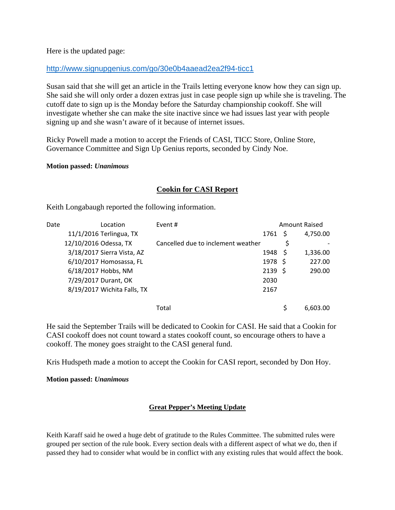Here is the updated page:

## http://www.signupgenius.com/go/30e0b4aaead2ea2f94-ticc1

Susan said that she will get an article in the Trails letting everyone know how they can sign up. She said she will only order a dozen extras just in case people sign up while she is traveling. The cutoff date to sign up is the Monday before the Saturday championship cookoff. She will investigate whether she can make the site inactive since we had issues last year with people signing up and she wasn't aware of it because of internet issues.

Ricky Powell made a motion to accept the Friends of CASI, TICC Store, Online Store, Governance Committee and Sign Up Genius reports, seconded by Cindy Noe.

### **Motion passed:** *Unanimous*

## **Cookin for CASI Report**

Keith Longabaugh reported the following information.

| Date |                       | Location                    | Event #                            |              | <b>Amount Raised</b> |          |
|------|-----------------------|-----------------------------|------------------------------------|--------------|----------------------|----------|
|      |                       | 11/1/2016 Terlingua, TX     |                                    | 1761 \$      |                      | 4,750.00 |
|      | 12/10/2016 Odessa, TX |                             | Cancelled due to inclement weather |              | \$                   |          |
|      |                       | 3/18/2017 Sierra Vista, AZ  |                                    | 1948 \$      |                      | 1,336.00 |
|      |                       | 6/10/2017 Homosassa, FL     |                                    | $1978 \;$ \$ |                      | 227.00   |
|      |                       | 6/18/2017 Hobbs, NM         |                                    | 2139S        |                      | 290.00   |
|      |                       | 7/29/2017 Durant, OK        |                                    | 2030         |                      |          |
|      |                       | 8/19/2017 Wichita Falls, TX |                                    | 2167         |                      |          |
|      |                       |                             |                                    |              |                      |          |
|      |                       |                             | Total                              |              | Ś                    | 6,603.00 |

He said the September Trails will be dedicated to Cookin for CASI. He said that a Cookin for CASI cookoff does not count toward a states cookoff count, so encourage others to have a cookoff. The money goes straight to the CASI general fund.

Kris Hudspeth made a motion to accept the Cookin for CASI report, seconded by Don Hoy.

### **Motion passed:** *Unanimous*

## **Great Pepper's Meeting Update**

Keith Karaff said he owed a huge debt of gratitude to the Rules Committee. The submitted rules were grouped per section of the rule book. Every section deals with a different aspect of what we do, then if passed they had to consider what would be in conflict with any existing rules that would affect the book.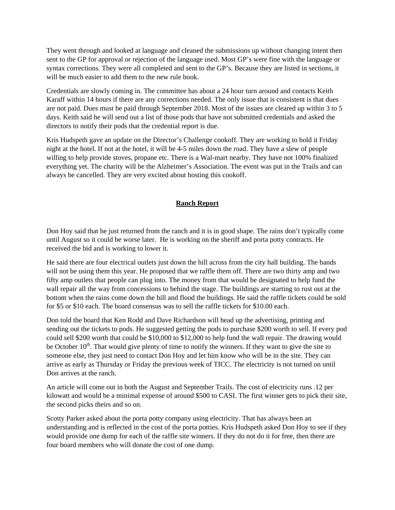They went through and looked at language and cleaned the submissions up without changing intent then sent to the GP for approval or rejection of the language used. Most GP's were fine with the language or syntax corrections. They were all completed and sent to the GP's. Because they are listed in sections, it will be much easier to add them to the new rule book.

Credentials are slowly coming in. The committee has about a 24 hour turn around and contacts Keith Karaff within 14 hours if there are any corrections needed. The only issue that is consistent is that dues are not paid. Dues must be paid through September 2018. Most of the issues are cleared up within 3 to 5 days. Keith said he will send out a list of those pods that have not submitted credentials and asked the directors to notify their pods that the credential report is due.

Kris Hudspeth gave an update on the Director's Challenge cookoff. They are working to hold it Friday night at the hotel. If not at the hotel, it will be 4-5 miles down the road. They have a slew of people willing to help provide stoves, propane etc. There is a Wal-mart nearby. They have not 100% finalized everything yet. The charity will be the Alzheimer's Association. The event was put in the Trails and can always be cancelled. They are very excited about hosting this cookoff.

### **Ranch Report**

Don Hoy said that he just returned from the ranch and it is in good shape. The rains don't typically come until August so it could be worse later. He is working on the sheriff and porta potty contracts. He received the bid and is working to lower it.

He said there are four electrical outlets just down the hill across from the city hall building. The bands will not be using them this year. He proposed that we raffle them off. There are two thirty amp and two fifty amp outlets that people can plug into. The money from that would be designated to help fund the wall repair all the way from concessions to behind the stage. The buildings are starting to rust out at the bottom when the rains come down the hill and flood the buildings. He said the raffle tickets could be sold for \$5 or \$10 each. The board consensus was to sell the raffle tickets for \$10.00 each.

Don told the board that Ken Rodd and Dave Richardson will head up the advertising, printing and sending out the tickets to pods. He suggested getting the pods to purchase \$200 worth to sell. If every pod could sell \$200 worth that could be \$10,000 to \$12,000 to help fund the wall repair. The drawing would be October  $10<sup>th</sup>$ . That would give plenty of time to notify the winners. If they want to give the site to someone else, they just need to contact Don Hoy and let him know who will be in the site. They can arrive as early as Thursday or Friday the previous week of TICC. The electricity is not turned on until Don arrives at the ranch.

An article will come out in both the August and September Trails. The cost of electricity runs .12 per kilowatt and would be a minimal expense of around \$500 to CASI. The first winner gets to pick their site, the second picks theirs and so on.

Scotty Parker asked about the porta potty company using electricity. That has always been an understanding and is reflected in the cost of the porta potties. Kris Hudspeth asked Don Hoy to see if they would provide one dump for each of the raffle site winners. If they do not do it for free, then there are four board members who will donate the cost of one dump.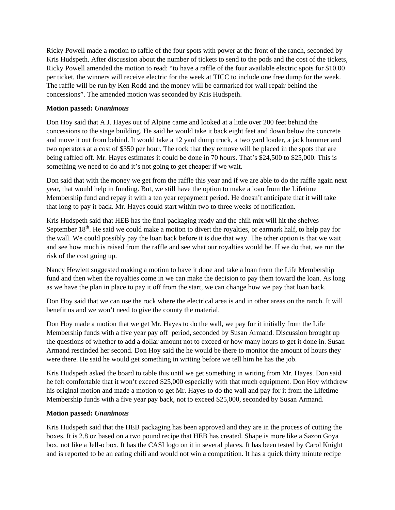Ricky Powell made a motion to raffle of the four spots with power at the front of the ranch, seconded by Kris Hudspeth. After discussion about the number of tickets to send to the pods and the cost of the tickets, Ricky Powell amended the motion to read: "to have a raffle of the four available electric spots for \$10.00 per ticket, the winners will receive electric for the week at TICC to include one free dump for the week. The raffle will be run by Ken Rodd and the money will be earmarked for wall repair behind the concessions". The amended motion was seconded by Kris Hudspeth.

### **Motion passed:** *Unanimous*

Don Hoy said that A.J. Hayes out of Alpine came and looked at a little over 200 feet behind the concessions to the stage building. He said he would take it back eight feet and down below the concrete and move it out from behind. It would take a 12 yard dump truck, a two yard loader, a jack hammer and two operators at a cost of \$350 per hour. The rock that they remove will be placed in the spots that are being raffled off. Mr. Hayes estimates it could be done in 70 hours. That's \$24,500 to \$25,000. This is something we need to do and it's not going to get cheaper if we wait.

Don said that with the money we get from the raffle this year and if we are able to do the raffle again next year, that would help in funding. But, we still have the option to make a loan from the Lifetime Membership fund and repay it with a ten year repayment period. He doesn't anticipate that it will take that long to pay it back. Mr. Hayes could start within two to three weeks of notification.

Kris Hudspeth said that HEB has the final packaging ready and the chili mix will hit the shelves September  $18<sup>th</sup>$ . He said we could make a motion to divert the royalties, or earmark half, to help pay for the wall. We could possibly pay the loan back before it is due that way. The other option is that we wait and see how much is raised from the raffle and see what our royalties would be. If we do that, we run the risk of the cost going up.

Nancy Hewlett suggested making a motion to have it done and take a loan from the Life Membership fund and then when the royalties come in we can make the decision to pay them toward the loan. As long as we have the plan in place to pay it off from the start, we can change how we pay that loan back.

Don Hoy said that we can use the rock where the electrical area is and in other areas on the ranch. It will benefit us and we won't need to give the county the material.

Don Hoy made a motion that we get Mr. Hayes to do the wall, we pay for it initially from the Life Membership funds with a five year pay off period, seconded by Susan Armand. Discussion brought up the questions of whether to add a dollar amount not to exceed or how many hours to get it done in. Susan Armand rescinded her second. Don Hoy said the he would be there to monitor the amount of hours they were there. He said he would get something in writing before we tell him he has the job.

Kris Hudspeth asked the board to table this until we get something in writing from Mr. Hayes. Don said he felt comfortable that it won't exceed \$25,000 especially with that much equipment. Don Hoy withdrew his original motion and made a motion to get Mr. Hayes to do the wall and pay for it from the Lifetime Membership funds with a five year pay back, not to exceed \$25,000, seconded by Susan Armand.

### **Motion passed:** *Unanimous*

Kris Hudspeth said that the HEB packaging has been approved and they are in the process of cutting the boxes. It is 2.8 oz based on a two pound recipe that HEB has created. Shape is more like a Sazon Goya box, not like a Jell-o box. It has the CASI logo on it in several places. It has been tested by Carol Knight and is reported to be an eating chili and would not win a competition. It has a quick thirty minute recipe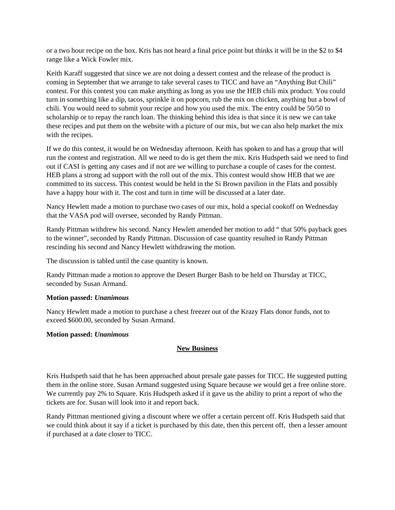or a two hour recipe on the box. Kris has not heard a final price point but thinks it will be in the \$2 to \$4 range like a Wick Fowler mix.

Keith Karaff suggested that since we are not doing a dessert contest and the release of the product is coming in September that we arrange to take several cases to TICC and have an "Anything But Chili" contest. For this contest you can make anything as long as you use the HEB chili mix product. You could turn in something like a dip, tacos, sprinkle it on popcorn, rub the mix on chicken, anything but a bowl of chili. You would need to submit your recipe and how you used the mix. The entry could be 50/50 to scholarship or to repay the ranch loan. The thinking behind this idea is that since it is new we can take these recipes and put them on the website with a picture of our mix, but we can also help market the mix with the recipes.

If we do this contest, it would be on Wednesday afternoon. Keith has spoken to and has a group that will run the contest and registration. All we need to do is get them the mix. Kris Hudspeth said we need to find out if CASI is getting any cases and if not are we willing to purchase a couple of cases for the contest. HEB plans a strong ad support with the roll out of the mix. This contest would show HEB that we are committed to its success. This contest would be held in the Si Brown pavilion in the Flats and possibly have a happy hour with it. The cost and turn in time will be discussed at a later date.

Nancy Hewlett made a motion to purchase two cases of our mix, hold a special cookoff on Wednesday that the VASA pod will oversee, seconded by Randy Pittman.

Randy Pittman withdrew his second. Nancy Hewlett amended her motion to add " that 50% payback goes to the winner", seconded by Randy Pittman. Discussion of case quantity resulted in Randy Pittman rescinding his second and Nancy Hewlett withdrawing the motion.

The discussion is tabled until the case quantity is known.

Randy Pittman made a motion to approve the Desert Burger Bash to be held on Thursday at TICC, seconded by Susan Armand.

### **Motion passed:** *Unanimous*

Nancy Hewlett made a motion to purchase a chest freezer out of the Krazy Flats donor funds, not to exceed \$600.00, seconded by Susan Armand.

### **Motion passed:** *Unanimous*

### **New Business**

Kris Hudspeth said that he has been approached about presale gate passes for TICC. He suggested putting them in the online store. Susan Armand suggested using Square because we would get a free online store. We currently pay 2% to Square. Kris Hudspeth asked if it gave us the ability to print a report of who the tickets are for. Susan will look into it and report back.

Randy Pittman mentioned giving a discount where we offer a certain percent off. Kris Hudspeth said that we could think about it say if a ticket is purchased by this date, then this percent off, then a lesser amount if purchased at a date closer to TICC.